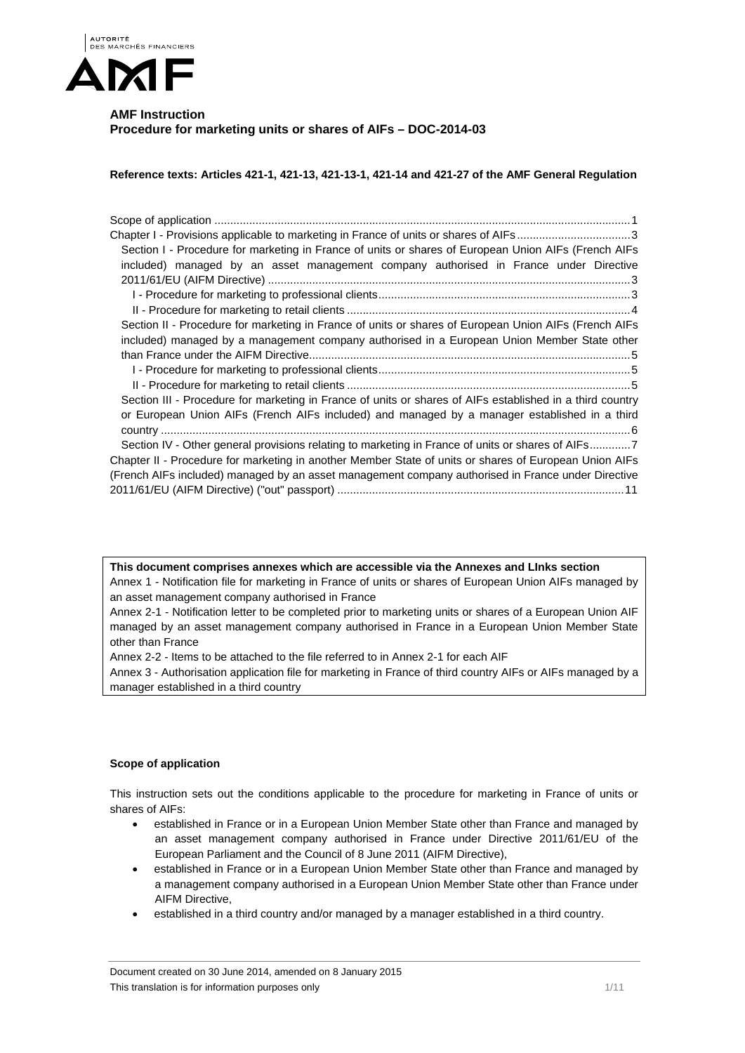

# **AMF Instruction Procedure for marketing units or shares of AIFs – DOC-2014-03**

**Reference texts: Articles 421-1, 421-13, 421-13-1, 421-14 and 421-27 of the AMF General Regulation** 

| Chapter I - Provisions applicable to marketing in France of units or shares of AIFs3                      |
|-----------------------------------------------------------------------------------------------------------|
| Section I - Procedure for marketing in France of units or shares of European Union AIFs (French AIFs      |
| included) managed by an asset management company authorised in France under Directive                     |
|                                                                                                           |
|                                                                                                           |
|                                                                                                           |
| Section II - Procedure for marketing in France of units or shares of European Union AIFs (French AIFs     |
| included) managed by a management company authorised in a European Union Member State other               |
|                                                                                                           |
|                                                                                                           |
|                                                                                                           |
| Section III - Procedure for marketing in France of units or shares of AIFs established in a third country |
| or European Union AIFs (French AIFs included) and managed by a manager established in a third             |
|                                                                                                           |
| Section IV - Other general provisions relating to marketing in France of units or shares of AIFs7         |
| Chapter II - Procedure for marketing in another Member State of units or shares of European Union AIFs    |
| (French AIFs included) managed by an asset management company authorised in France under Directive        |
|                                                                                                           |
|                                                                                                           |

**This document comprises annexes which are accessible via the Annexes and LInks section**  Annex 1 - Notification file for marketing in France of units or shares of European Union AIFs managed by an asset management company authorised in France

Annex 2-1 - Notification letter to be completed prior to marketing units or shares of a European Union AIF managed by an asset management company authorised in France in a European Union Member State other than France

Annex 2-2 - Items to be attached to the file referred to in Annex 2-1 for each AIF

Annex 3 - Authorisation application file for marketing in France of third country AIFs or AIFs managed by a manager established in a third country

## **Scope of application**

This instruction sets out the conditions applicable to the procedure for marketing in France of units or shares of AIFs:

- established in France or in a European Union Member State other than France and managed by an asset management company authorised in France under Directive 2011/61/EU of the European Parliament and the Council of 8 June 2011 (AIFM Directive),
- established in France or in a European Union Member State other than France and managed by a management company authorised in a European Union Member State other than France under AIFM Directive,
- established in a third country and/or managed by a manager established in a third country.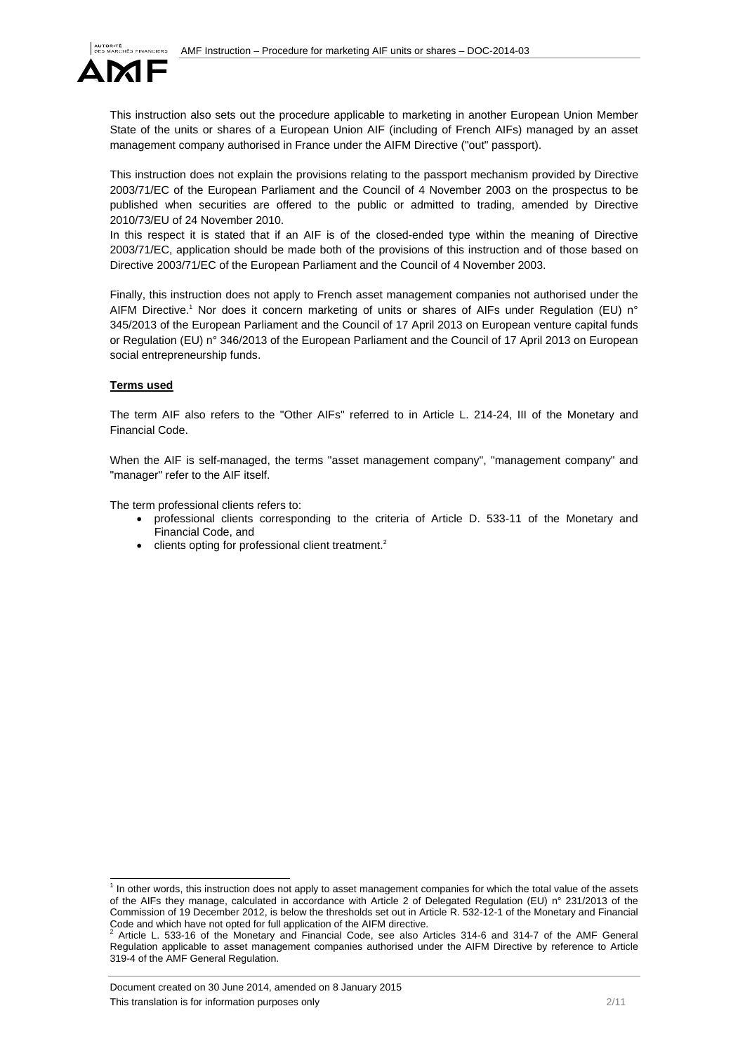

This instruction also sets out the procedure applicable to marketing in another European Union Member State of the units or shares of a European Union AIF (including of French AIFs) managed by an asset management company authorised in France under the AIFM Directive ("out" passport).

This instruction does not explain the provisions relating to the passport mechanism provided by Directive 2003/71/EC of the European Parliament and the Council of 4 November 2003 on the prospectus to be published when securities are offered to the public or admitted to trading, amended by Directive 2010/73/EU of 24 November 2010.

In this respect it is stated that if an AIF is of the closed-ended type within the meaning of Directive 2003/71/EC, application should be made both of the provisions of this instruction and of those based on Directive 2003/71/EC of the European Parliament and the Council of 4 November 2003.

Finally, this instruction does not apply to French asset management companies not authorised under the AIFM Directive.<sup>1</sup> Nor does it concern marketing of units or shares of AIFs under Regulation (EU) n° 345/2013 of the European Parliament and the Council of 17 April 2013 on European venture capital funds or Regulation (EU) n° 346/2013 of the European Parliament and the Council of 17 April 2013 on European social entrepreneurship funds.

### **Terms used**

The term AIF also refers to the "Other AIFs" referred to in Article L. 214-24, III of the Monetary and Financial Code.

When the AIF is self-managed, the terms "asset management company", "management company" and "manager" refer to the AIF itself.

The term professional clients refers to:

- professional clients corresponding to the criteria of Article D. 533-11 of the Monetary and Financial Code, and
- $\bullet$  clients opting for professional client treatment.<sup>2</sup>

 1 In other words, this instruction does not apply to asset management companies for which the total value of the assets of the AIFs they manage, calculated in accordance with Article 2 of Delegated Regulation (EU) n° 231/2013 of the Commission of 19 December 2012, is below the thresholds set out in Article R. 532-12-1 of the Monetary and Financial Code and which have not opted for full application of the AIFM directive.<br> $2.0$  tigle 1. 533.46 of the Menatery and Financial Code, see also 0.

Article L. 533-16 of the Monetary and Financial Code, see also Articles 314-6 and 314-7 of the AMF General Regulation applicable to asset management companies authorised under the AIFM Directive by reference to Article 319-4 of the AMF General Regulation.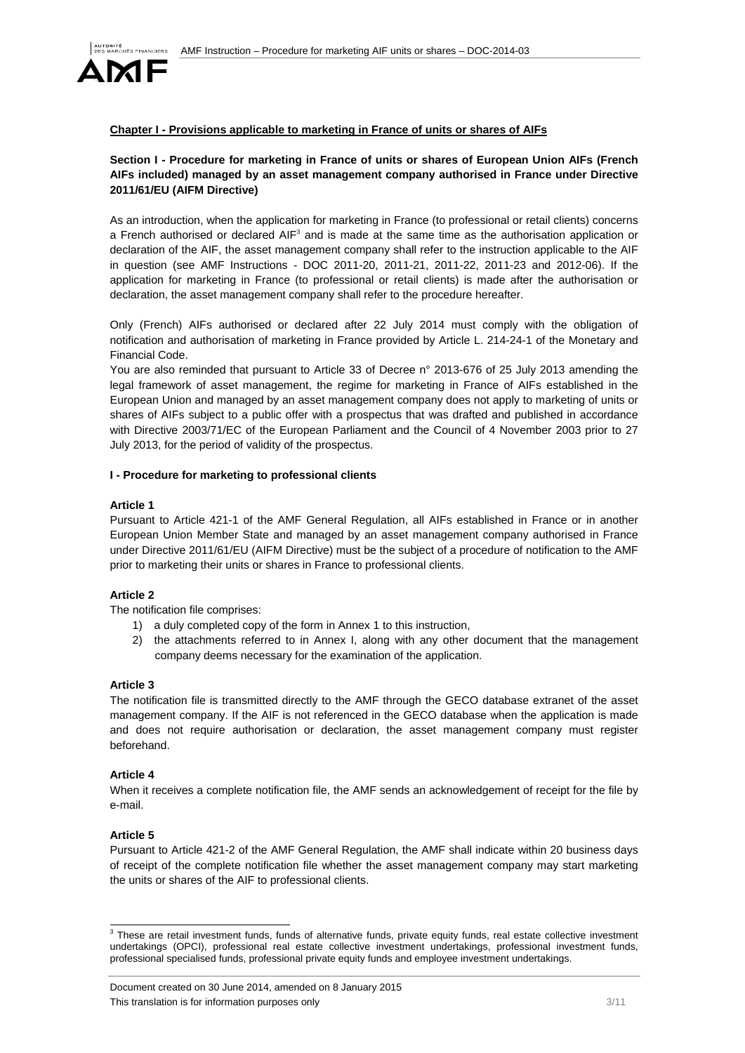

## **Chapter I - Provisions applicable to marketing in France of units or shares of AIFs**

## **Section I - Procedure for marketing in France of units or shares of European Union AIFs (French AIFs included) managed by an asset management company authorised in France under Directive 2011/61/EU (AIFM Directive)**

As an introduction, when the application for marketing in France (to professional or retail clients) concerns a French authorised or declared AIF<sup>3</sup> and is made at the same time as the authorisation application or declaration of the AIF, the asset management company shall refer to the instruction applicable to the AIF in question (see AMF Instructions - DOC 2011-20, 2011-21, 2011-22, 2011-23 and 2012-06). If the application for marketing in France (to professional or retail clients) is made after the authorisation or declaration, the asset management company shall refer to the procedure hereafter.

Only (French) AIFs authorised or declared after 22 July 2014 must comply with the obligation of notification and authorisation of marketing in France provided by Article L. 214-24-1 of the Monetary and Financial Code.

You are also reminded that pursuant to Article 33 of Decree n° 2013-676 of 25 July 2013 amending the legal framework of asset management, the regime for marketing in France of AIFs established in the European Union and managed by an asset management company does not apply to marketing of units or shares of AIFs subject to a public offer with a prospectus that was drafted and published in accordance with Directive 2003/71/EC of the European Parliament and the Council of 4 November 2003 prior to 27 July 2013, for the period of validity of the prospectus.

#### **I - Procedure for marketing to professional clients**

#### **Article 1**

Pursuant to Article 421-1 of the AMF General Regulation, all AIFs established in France or in another European Union Member State and managed by an asset management company authorised in France under Directive 2011/61/EU (AIFM Directive) must be the subject of a procedure of notification to the AMF prior to marketing their units or shares in France to professional clients.

### **Article 2**

The notification file comprises:

- 1) a duly completed copy of the form in Annex 1 to this instruction,
- 2) the attachments referred to in Annex I, along with any other document that the management company deems necessary for the examination of the application.

#### **Article 3**

The notification file is transmitted directly to the AMF through the GECO database extranet of the asset management company. If the AIF is not referenced in the GECO database when the application is made and does not require authorisation or declaration, the asset management company must register beforehand.

#### **Article 4**

When it receives a complete notification file, the AMF sends an acknowledgement of receipt for the file by e-mail.

#### **Article 5**

Pursuant to Article 421-2 of the AMF General Regulation, the AMF shall indicate within 20 business days of receipt of the complete notification file whether the asset management company may start marketing the units or shares of the AIF to professional clients.

 3 These are retail investment funds, funds of alternative funds, private equity funds, real estate collective investment undertakings (OPCI), professional real estate collective investment undertakings, professional investment funds, professional specialised funds, professional private equity funds and employee investment undertakings.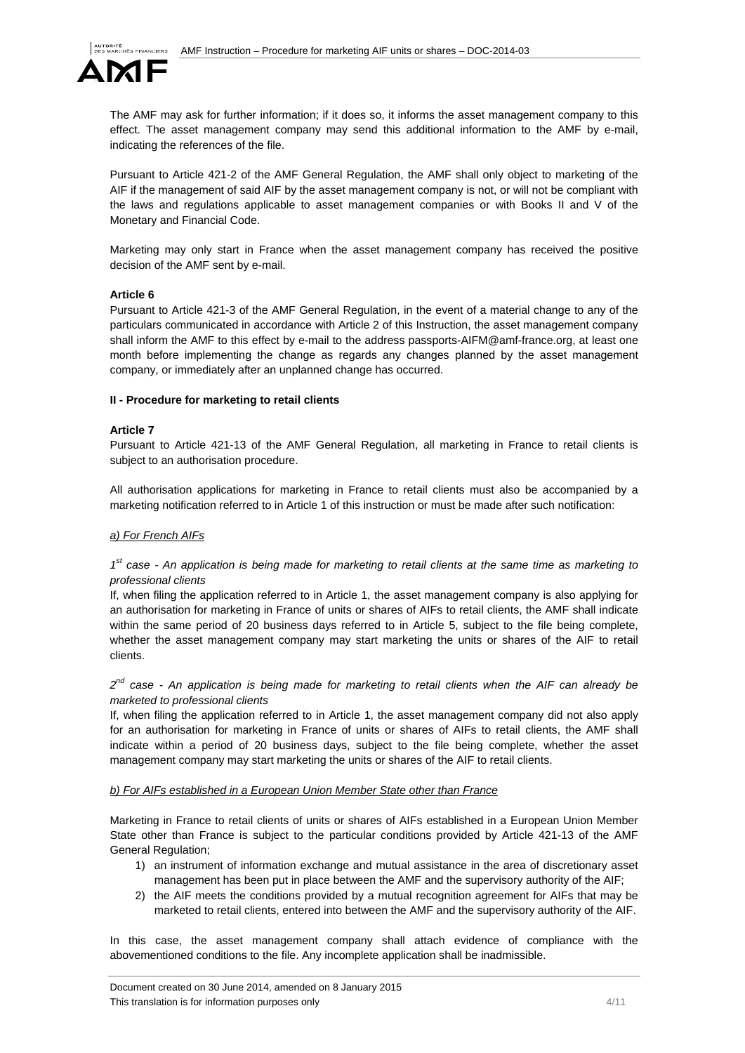

The AMF may ask for further information; if it does so, it informs the asset management company to this effect. The asset management company may send this additional information to the AMF by e-mail, indicating the references of the file.

Pursuant to Article 421-2 of the AMF General Regulation, the AMF shall only object to marketing of the AIF if the management of said AIF by the asset management company is not, or will not be compliant with the laws and regulations applicable to asset management companies or with Books II and V of the Monetary and Financial Code.

Marketing may only start in France when the asset management company has received the positive decision of the AMF sent by e-mail.

#### **Article 6**

Pursuant to Article 421-3 of the AMF General Regulation, in the event of a material change to any of the particulars communicated in accordance with Article 2 of this Instruction, the asset management company shall inform the AMF to this effect by e-mail to the address passports-AIFM@amf-france.org, at least one month before implementing the change as regards any changes planned by the asset management company, or immediately after an unplanned change has occurred.

#### **II - Procedure for marketing to retail clients**

#### **Article 7**

Pursuant to Article 421-13 of the AMF General Regulation, all marketing in France to retail clients is subject to an authorisation procedure.

All authorisation applications for marketing in France to retail clients must also be accompanied by a marketing notification referred to in Article 1 of this instruction or must be made after such notification:

#### *a) For French AIFs*

## *1st case - An application is being made for marketing to retail clients at the same time as marketing to professional clients*

If, when filing the application referred to in Article 1, the asset management company is also applying for an authorisation for marketing in France of units or shares of AIFs to retail clients, the AMF shall indicate within the same period of 20 business days referred to in Article 5, subject to the file being complete, whether the asset management company may start marketing the units or shares of the AIF to retail clients.

*2nd case - An application is being made for marketing to retail clients when the AIF can already be marketed to professional clients* 

If, when filing the application referred to in Article 1, the asset management company did not also apply for an authorisation for marketing in France of units or shares of AIFs to retail clients, the AMF shall indicate within a period of 20 business days, subject to the file being complete, whether the asset management company may start marketing the units or shares of the AIF to retail clients.

#### *b) For AIFs established in a European Union Member State other than France*

Marketing in France to retail clients of units or shares of AIFs established in a European Union Member State other than France is subject to the particular conditions provided by Article 421-13 of the AMF General Regulation;

- 1) an instrument of information exchange and mutual assistance in the area of discretionary asset management has been put in place between the AMF and the supervisory authority of the AIF;
- 2) the AIF meets the conditions provided by a mutual recognition agreement for AIFs that may be marketed to retail clients, entered into between the AMF and the supervisory authority of the AIF.

In this case, the asset management company shall attach evidence of compliance with the abovementioned conditions to the file. Any incomplete application shall be inadmissible.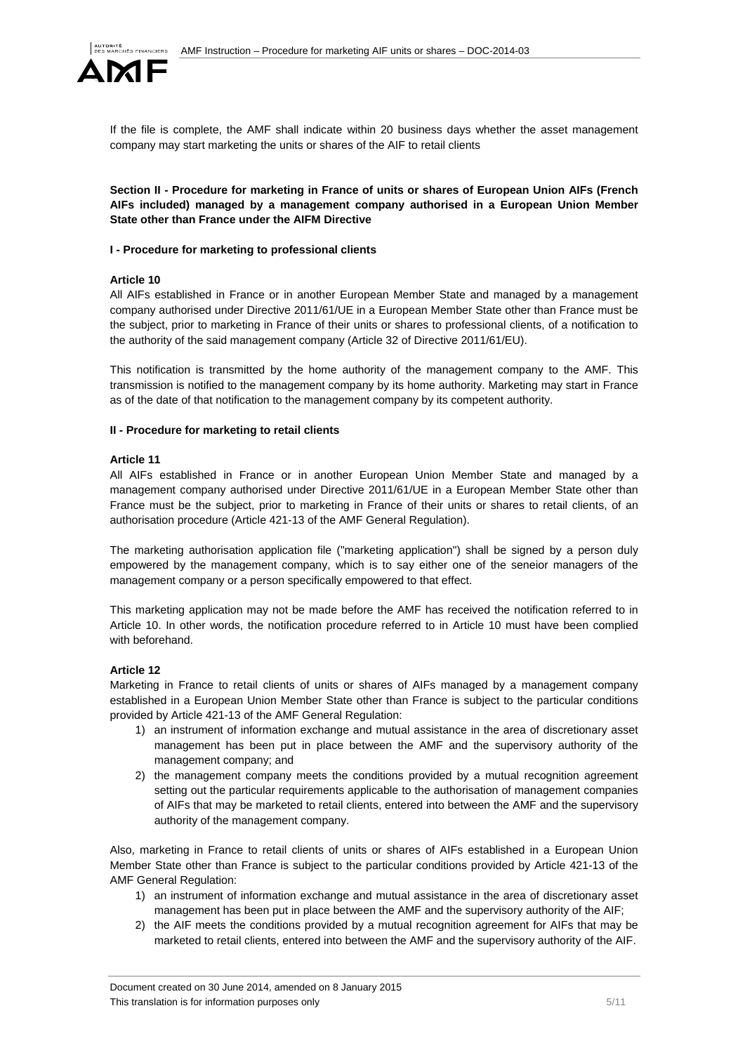

If the file is complete, the AMF shall indicate within 20 business days whether the asset management company may start marketing the units or shares of the AIF to retail clients

**Section II - Procedure for marketing in France of units or shares of European Union AIFs (French AIFs included) managed by a management company authorised in a European Union Member State other than France under the AIFM Directive** 

### **I - Procedure for marketing to professional clients**

### **Article 10**

All AIFs established in France or in another European Member State and managed by a management company authorised under Directive 2011/61/UE in a European Member State other than France must be the subject, prior to marketing in France of their units or shares to professional clients, of a notification to the authority of the said management company (Article 32 of Directive 2011/61/EU).

This notification is transmitted by the home authority of the management company to the AMF. This transmission is notified to the management company by its home authority. Marketing may start in France as of the date of that notification to the management company by its competent authority.

### **II - Procedure for marketing to retail clients**

### **Article 11**

All AIFs established in France or in another European Union Member State and managed by a management company authorised under Directive 2011/61/UE in a European Member State other than France must be the subject, prior to marketing in France of their units or shares to retail clients, of an authorisation procedure (Article 421-13 of the AMF General Regulation).

The marketing authorisation application file ("marketing application") shall be signed by a person duly empowered by the management company, which is to say either one of the seneior managers of the management company or a person specifically empowered to that effect.

This marketing application may not be made before the AMF has received the notification referred to in Article 10. In other words, the notification procedure referred to in Article 10 must have been complied with beforehand.

## **Article 12**

Marketing in France to retail clients of units or shares of AIFs managed by a management company established in a European Union Member State other than France is subject to the particular conditions provided by Article 421-13 of the AMF General Regulation:

- 1) an instrument of information exchange and mutual assistance in the area of discretionary asset management has been put in place between the AMF and the supervisory authority of the management company; and
- 2) the management company meets the conditions provided by a mutual recognition agreement setting out the particular requirements applicable to the authorisation of management companies of AIFs that may be marketed to retail clients, entered into between the AMF and the supervisory authority of the management company.

Also, marketing in France to retail clients of units or shares of AIFs established in a European Union Member State other than France is subject to the particular conditions provided by Article 421-13 of the AMF General Regulation:

- 1) an instrument of information exchange and mutual assistance in the area of discretionary asset management has been put in place between the AMF and the supervisory authority of the AIF;
- 2) the AIF meets the conditions provided by a mutual recognition agreement for AIFs that may be marketed to retail clients, entered into between the AMF and the supervisory authority of the AIF.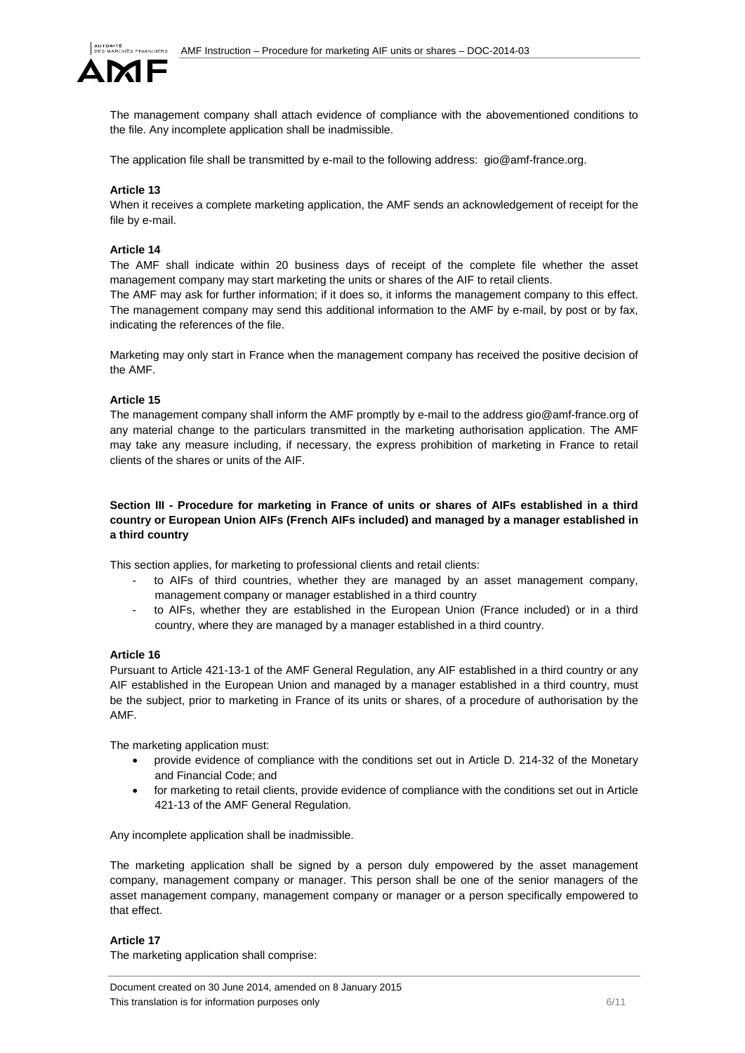

The management company shall attach evidence of compliance with the abovementioned conditions to the file. Any incomplete application shall be inadmissible.

The application file shall be transmitted by e-mail to the following address: gio@amf-france.org.

#### **Article 13**

When it receives a complete marketing application, the AMF sends an acknowledgement of receipt for the file by e-mail.

#### **Article 14**

The AMF shall indicate within 20 business days of receipt of the complete file whether the asset management company may start marketing the units or shares of the AIF to retail clients.

The AMF may ask for further information; if it does so, it informs the management company to this effect. The management company may send this additional information to the AMF by e-mail, by post or by fax, indicating the references of the file.

Marketing may only start in France when the management company has received the positive decision of the AMF.

#### **Article 15**

The management company shall inform the AMF promptly by e-mail to the address gio@amf-france.org of any material change to the particulars transmitted in the marketing authorisation application. The AMF may take any measure including, if necessary, the express prohibition of marketing in France to retail clients of the shares or units of the AIF.

## **Section III - Procedure for marketing in France of units or shares of AIFs established in a third country or European Union AIFs (French AIFs included) and managed by a manager established in a third country**

This section applies, for marketing to professional clients and retail clients:

- to AIFs of third countries, whether they are managed by an asset management company, management company or manager established in a third country
- to AIFs, whether they are established in the European Union (France included) or in a third country, where they are managed by a manager established in a third country.

#### **Article 16**

Pursuant to Article 421-13-1 of the AMF General Regulation, any AIF established in a third country or any AIF established in the European Union and managed by a manager established in a third country, must be the subject, prior to marketing in France of its units or shares, of a procedure of authorisation by the AMF.

The marketing application must:

- provide evidence of compliance with the conditions set out in Article D. 214-32 of the Monetary and Financial Code; and
- for marketing to retail clients, provide evidence of compliance with the conditions set out in Article 421-13 of the AMF General Regulation.

Any incomplete application shall be inadmissible.

The marketing application shall be signed by a person duly empowered by the asset management company, management company or manager. This person shall be one of the senior managers of the asset management company, management company or manager or a person specifically empowered to that effect.

#### **Article 17**

The marketing application shall comprise: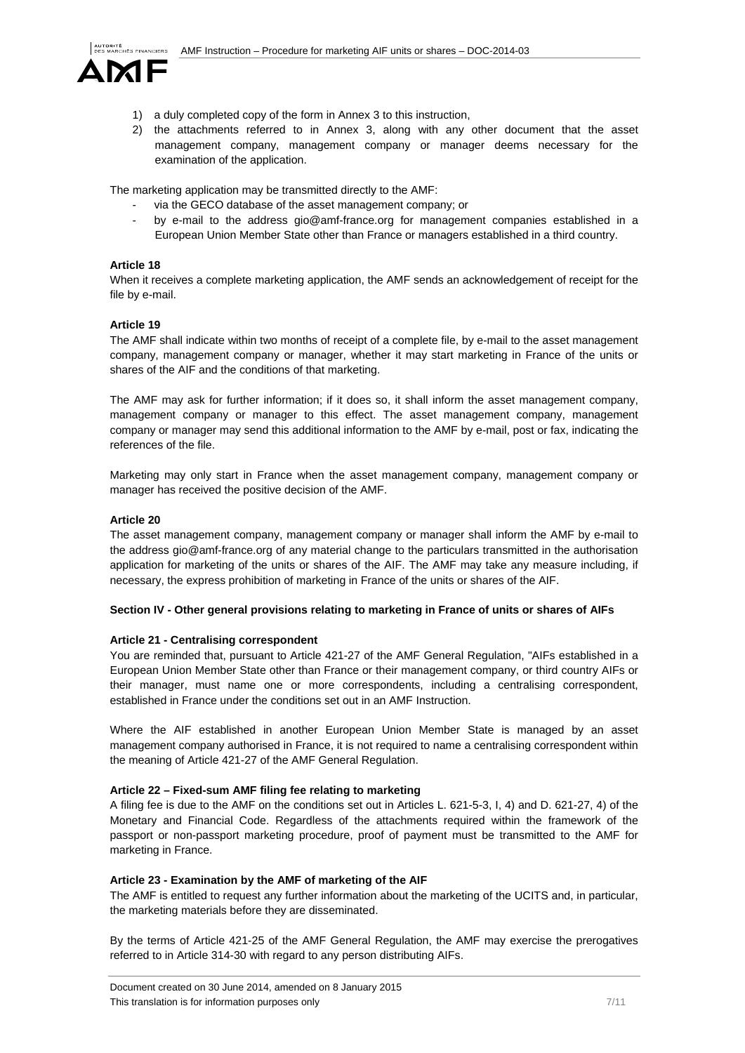

- 1) a duly completed copy of the form in Annex 3 to this instruction,
- 2) the attachments referred to in Annex 3, along with any other document that the asset management company, management company or manager deems necessary for the examination of the application.

The marketing application may be transmitted directly to the AMF:

- via the GECO database of the asset management company; or
- by e-mail to the address gio@amf-france.org for management companies established in a European Union Member State other than France or managers established in a third country.

### **Article 18**

When it receives a complete marketing application, the AMF sends an acknowledgement of receipt for the file by e-mail.

### **Article 19**

The AMF shall indicate within two months of receipt of a complete file, by e-mail to the asset management company, management company or manager, whether it may start marketing in France of the units or shares of the AIF and the conditions of that marketing.

The AMF may ask for further information; if it does so, it shall inform the asset management company, management company or manager to this effect. The asset management company, management company or manager may send this additional information to the AMF by e-mail, post or fax, indicating the references of the file.

Marketing may only start in France when the asset management company, management company or manager has received the positive decision of the AMF.

#### **Article 20**

The asset management company, management company or manager shall inform the AMF by e-mail to the address gio@amf-france.org of any material change to the particulars transmitted in the authorisation application for marketing of the units or shares of the AIF. The AMF may take any measure including, if necessary, the express prohibition of marketing in France of the units or shares of the AIF.

#### **Section IV - Other general provisions relating to marketing in France of units or shares of AIFs**

#### **Article 21 - Centralising correspondent**

You are reminded that, pursuant to Article 421-27 of the AMF General Regulation, "AIFs established in a European Union Member State other than France or their management company, or third country AIFs or their manager, must name one or more correspondents, including a centralising correspondent, established in France under the conditions set out in an AMF Instruction.

Where the AIF established in another European Union Member State is managed by an asset management company authorised in France, it is not required to name a centralising correspondent within the meaning of Article 421-27 of the AMF General Regulation.

#### **Article 22 – Fixed-sum AMF filing fee relating to marketing**

A filing fee is due to the AMF on the conditions set out in Articles L. 621-5-3, I, 4) and D. 621-27, 4) of the Monetary and Financial Code. Regardless of the attachments required within the framework of the passport or non-passport marketing procedure, proof of payment must be transmitted to the AMF for marketing in France.

#### **Article 23 - Examination by the AMF of marketing of the AIF**

The AMF is entitled to request any further information about the marketing of the UCITS and, in particular, the marketing materials before they are disseminated.

By the terms of Article 421-25 of the AMF General Regulation, the AMF may exercise the prerogatives referred to in Article 314-30 with regard to any person distributing AIFs.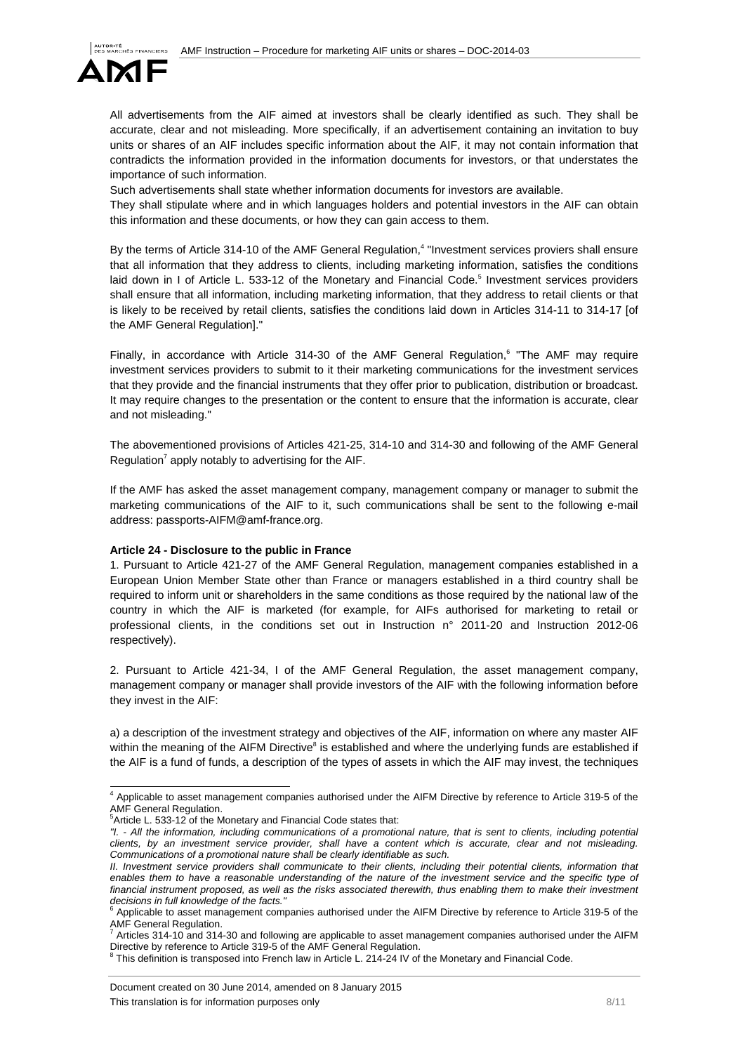

All advertisements from the AIF aimed at investors shall be clearly identified as such. They shall be accurate, clear and not misleading. More specifically, if an advertisement containing an invitation to buy units or shares of an AIF includes specific information about the AIF, it may not contain information that contradicts the information provided in the information documents for investors, or that understates the importance of such information.

Such advertisements shall state whether information documents for investors are available.

They shall stipulate where and in which languages holders and potential investors in the AIF can obtain this information and these documents, or how they can gain access to them.

By the terms of Article 314-10 of the AMF General Regulation,<sup>4</sup> "Investment services proviers shall ensure that all information that they address to clients, including marketing information, satisfies the conditions laid down in I of Article L. 533-12 of the Monetary and Financial Code.<sup>5</sup> Investment services providers shall ensure that all information, including marketing information, that they address to retail clients or that is likely to be received by retail clients, satisfies the conditions laid down in Articles 314-11 to 314-17 [of the AMF General Regulation]."

Finally, in accordance with Article 314-30 of the AMF General Regulation,<sup>6</sup> "The AMF may require investment services providers to submit to it their marketing communications for the investment services that they provide and the financial instruments that they offer prior to publication, distribution or broadcast. It may require changes to the presentation or the content to ensure that the information is accurate, clear and not misleading."

The abovementioned provisions of Articles 421-25, 314-10 and 314-30 and following of the AMF General Regulation<sup>7</sup> apply notably to advertising for the AIF.

If the AMF has asked the asset management company, management company or manager to submit the marketing communications of the AIF to it, such communications shall be sent to the following e-mail address: passports-AIFM@amf-france.org.

#### **Article 24 - Disclosure to the public in France**

1. Pursuant to Article 421-27 of the AMF General Regulation, management companies established in a European Union Member State other than France or managers established in a third country shall be required to inform unit or shareholders in the same conditions as those required by the national law of the country in which the AIF is marketed (for example, for AIFs authorised for marketing to retail or professional clients, in the conditions set out in Instruction n° 2011-20 and Instruction 2012-06 respectively).

2. Pursuant to Article 421-34, I of the AMF General Regulation, the asset management company, management company or manager shall provide investors of the AIF with the following information before they invest in the AIF:

a) a description of the investment strategy and objectives of the AIF, information on where any master AIF within the meaning of the AIFM Directive $^8$  is established and where the underlying funds are established if the AIF is a fund of funds, a description of the types of assets in which the AIF may invest, the techniques

*"I. - All the information, including communications of a promotional nature, that is sent to clients, including potential clients, by an investment service provider, shall have a content which is accurate, clear and not misleading. Communications of a promotional nature shall be clearly identifiable as such.* 

 4 Applicable to asset management companies authorised under the AIFM Directive by reference to Article 319-5 of the AMF General Regulation.<br><sup>5</sup>Article L, 533, 13 of the M

 $5$ Article L. 533-12 of the Monetary and Financial Code states that:

*II. Investment service providers shall communicate to their clients, including their potential clients, information that* enables them to have a reasonable understanding of the nature of the investment service and the specific type of financial instrument proposed, as well as the risks associated therewith, thus enabling them to make their investment *decisions in full knowledge of the facts."* 6

Applicable to asset management companies authorised under the AIFM Directive by reference to Article 319-5 of the AMF General Regulation.<br>
<sup>7</sup> Articles 314.10 and 314.

Articles 314-10 and 314-30 and following are applicable to asset management companies authorised under the AIFM

Directive by reference to Article 319-5 of the AMF General Regulation.<br><sup>8</sup> This definition is transposed into French law in Article L. 214-24 IV of the Monetary and Financial Code.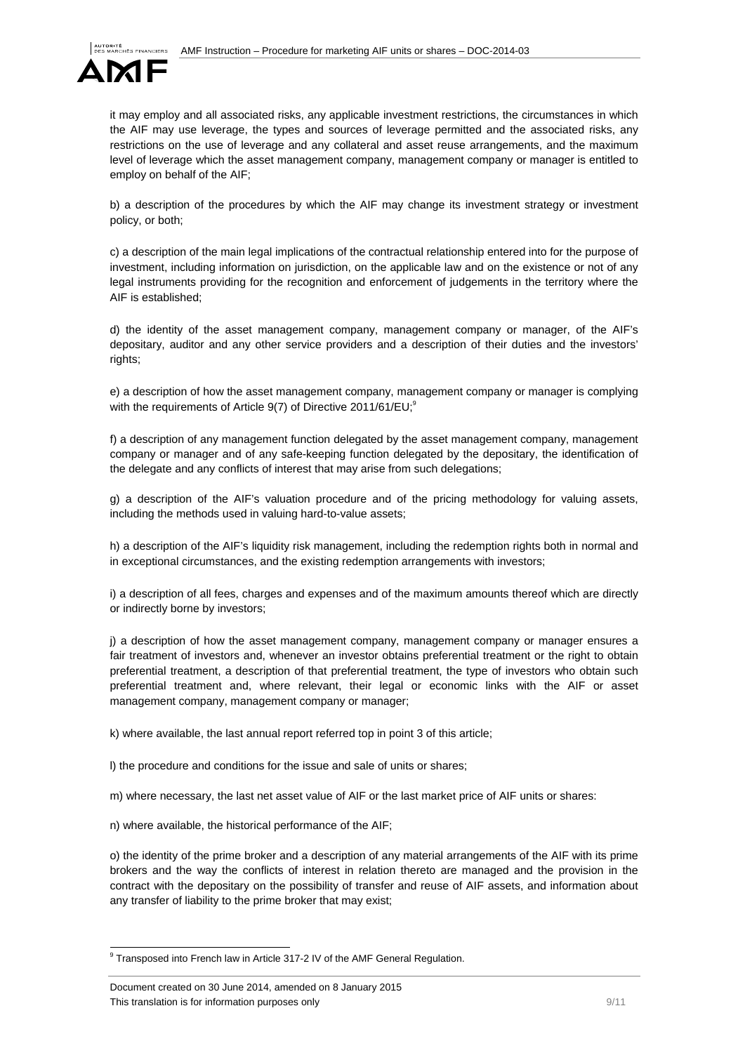

it may employ and all associated risks, any applicable investment restrictions, the circumstances in which the AIF may use leverage, the types and sources of leverage permitted and the associated risks, any restrictions on the use of leverage and any collateral and asset reuse arrangements, and the maximum level of leverage which the asset management company, management company or manager is entitled to employ on behalf of the AIF;

b) a description of the procedures by which the AIF may change its investment strategy or investment policy, or both;

c) a description of the main legal implications of the contractual relationship entered into for the purpose of investment, including information on jurisdiction, on the applicable law and on the existence or not of any legal instruments providing for the recognition and enforcement of judgements in the territory where the AIF is established;

d) the identity of the asset management company, management company or manager, of the AIF's depositary, auditor and any other service providers and a description of their duties and the investors' rights;

e) a description of how the asset management company, management company or manager is complying with the requirements of Article  $9(7)$  of Directive 2011/61/EU;<sup>9</sup>

f) a description of any management function delegated by the asset management company, management company or manager and of any safe-keeping function delegated by the depositary, the identification of the delegate and any conflicts of interest that may arise from such delegations;

g) a description of the AIF's valuation procedure and of the pricing methodology for valuing assets, including the methods used in valuing hard-to-value assets;

h) a description of the AIF's liquidity risk management, including the redemption rights both in normal and in exceptional circumstances, and the existing redemption arrangements with investors;

i) a description of all fees, charges and expenses and of the maximum amounts thereof which are directly or indirectly borne by investors;

j) a description of how the asset management company, management company or manager ensures a fair treatment of investors and, whenever an investor obtains preferential treatment or the right to obtain preferential treatment, a description of that preferential treatment, the type of investors who obtain such preferential treatment and, where relevant, their legal or economic links with the AIF or asset management company, management company or manager;

k) where available, the last annual report referred top in point 3 of this article;

l) the procedure and conditions for the issue and sale of units or shares;

m) where necessary, the last net asset value of AIF or the last market price of AIF units or shares:

n) where available, the historical performance of the AIF;

o) the identity of the prime broker and a description of any material arrangements of the AIF with its prime brokers and the way the conflicts of interest in relation thereto are managed and the provision in the contract with the depositary on the possibility of transfer and reuse of AIF assets, and information about any transfer of liability to the prime broker that may exist;

 9 Transposed into French law in Article 317-2 IV of the AMF General Regulation.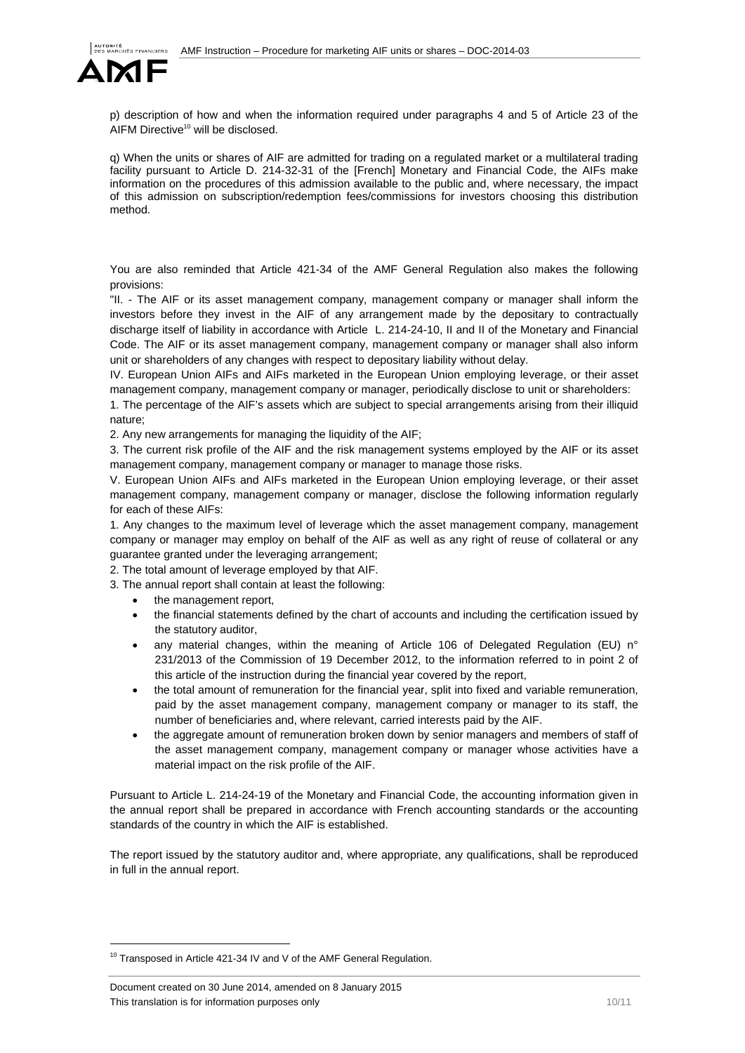

p) description of how and when the information required under paragraphs 4 and 5 of Article 23 of the AIFM Directive<sup>10</sup> will be disclosed.

q) When the units or shares of AIF are admitted for trading on a regulated market or a multilateral trading facility pursuant to Article D. 214-32-31 of the [French] Monetary and Financial Code, the AIFs make information on the procedures of this admission available to the public and, where necessary, the impact of this admission on subscription/redemption fees/commissions for investors choosing this distribution method.

You are also reminded that Article 421-34 of the AMF General Regulation also makes the following provisions:

"II. - The AIF or its asset management company, management company or manager shall inform the investors before they invest in the AIF of any arrangement made by the depositary to contractually discharge itself of liability in accordance with Article L. 214-24-10, II and II of the Monetary and Financial Code. The AIF or its asset management company, management company or manager shall also inform unit or shareholders of any changes with respect to depositary liability without delay.

IV. European Union AIFs and AIFs marketed in the European Union employing leverage, or their asset management company, management company or manager, periodically disclose to unit or shareholders:

1. The percentage of the AIF's assets which are subject to special arrangements arising from their illiquid nature;

2. Any new arrangements for managing the liquidity of the AIF;

3. The current risk profile of the AIF and the risk management systems employed by the AIF or its asset management company, management company or manager to manage those risks.

V. European Union AIFs and AIFs marketed in the European Union employing leverage, or their asset management company, management company or manager, disclose the following information regularly for each of these AIFs:

1. Any changes to the maximum level of leverage which the asset management company, management company or manager may employ on behalf of the AIF as well as any right of reuse of collateral or any guarantee granted under the leveraging arrangement;

2. The total amount of leverage employed by that AIF.

3. The annual report shall contain at least the following:

- the management report,
- the financial statements defined by the chart of accounts and including the certification issued by the statutory auditor,
- any material changes, within the meaning of Article 106 of Delegated Regulation (EU) n° 231/2013 of the Commission of 19 December 2012, to the information referred to in point 2 of this article of the instruction during the financial year covered by the report,
- the total amount of remuneration for the financial year, split into fixed and variable remuneration, paid by the asset management company, management company or manager to its staff, the number of beneficiaries and, where relevant, carried interests paid by the AIF.
- the aggregate amount of remuneration broken down by senior managers and members of staff of the asset management company, management company or manager whose activities have a material impact on the risk profile of the AIF.

Pursuant to Article L. 214-24-19 of the Monetary and Financial Code, the accounting information given in the annual report shall be prepared in accordance with French accounting standards or the accounting standards of the country in which the AIF is established.

The report issued by the statutory auditor and, where appropriate, any qualifications, shall be reproduced in full in the annual report.

l

<sup>&</sup>lt;sup>10</sup> Transposed in Article 421-34 IV and V of the AMF General Regulation.